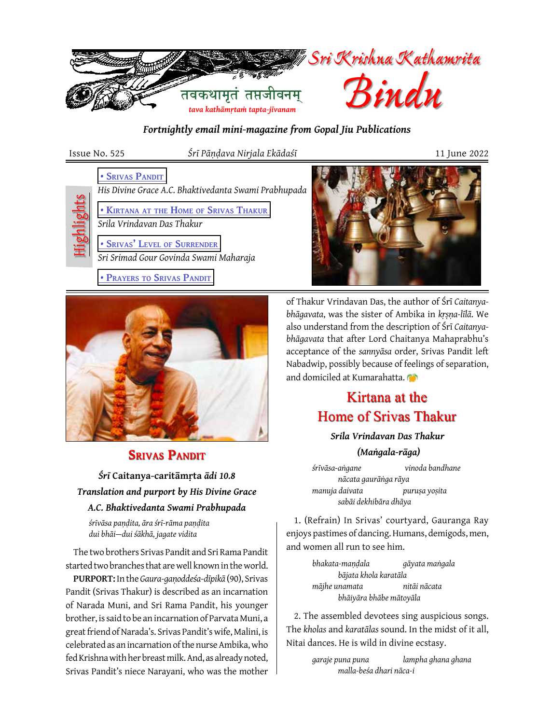

*Fortnightly email mini-magazine from Gopal Jiu Publications*

Highlights

Issue No. 525 *Śrī Pāṇḍava Nirjala Ekādaśī* 11 June 2022

**• SRIVAS PANDIT** 

*His Divine Grace A.C. Bhaktivedanta Swami Prabhupada* 

 **[• Kirtana](#page-0-1) at the Home of Srivas Thakur**

*Srila Vrindavan Das Thakur*

 **[• Srivas' Level](#page-1-0) of Surrender** *Sri Srimad Gour Govinda Swami Maharaja*

 **• Prayers [to Srivas Pandit](#page-2-0)**



## <span id="page-0-0"></span>**SRIVAS PANDIT**

*Śrī* **Caitanya-caritāmṛta** *ādi 10.8 Translation and purport by His Divine Grace A.C. Bhaktivedanta Swami Prabhupada* 

*śrīvāsa paṇḍita, āra śrī-rāma paṇḍita dui bhāi—dui śākhā, jagate vidita*

The two brothers Srivas Pandit and Sri Rama Pandit started two branches that are well known in the world.

**PURPORT:** In the *Gaura-gaṇoddeśa-dīpikā* (90), Srivas Pandit (Srivas Thakur) is described as an incarnation of Narada Muni, and Sri Rama Pandit, his younger brother, is said to be an incarnation of Parvata Muni, a great friend of Narada's. Srivas Pandit's wife, Malini, is celebrated as an incarnation of the nurse Ambika, who fed Krishna with her breast milk. And, as already noted, Srivas Pandit's niece Narayani, who was the mother

of Thakur Vrindavan Das, the author of Śrī *Caitanyabhāgavata*, was the sister of Ambika in *kṛṣṇa-līlā*. We also understand from the description of Śrī *Caitanyabhāgavata* that after Lord Chaitanya Mahaprabhu's acceptance of the *sannyāsa* order, Srivas Pandit left Nabadwip, possibly because of feelings of separation,

# Kirtana at the Home of Srivas Thakur

and domiciled at Kumarahatta.

*Srila Vrindavan Das Thakur*

<span id="page-0-1"></span> *(Maṅgala-rāga)*

*śrīvāsa-aṅgane vinoda bandhane nācata gaurāṅga rāya manuja daivata puruṣa yoṣita sabāi dekhibāra dhāya*

1. (Refrain) In Srivas' courtyard, Gauranga Ray enjoys pastimes of dancing. Humans, demigods, men, and women all run to see him.

> *bhakata-maṇḍala gāyata maṅgala bājata khola karatāla mājhe unamata nitāi nācata bhāiyāra bhābe mātoyāla*

2. The assembled devotees sing auspicious songs. The *kholas* and *karatālas* sound. In the midst of it all, Nitai dances. He is wild in divine ecstasy.

> *garaje puna puna lampha ghana ghana malla-beśa dhari nāca-i*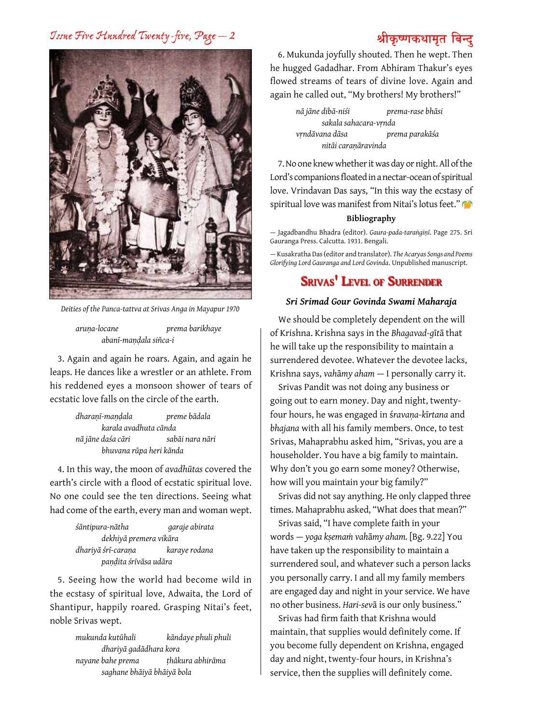## *Issue Five Hundred Twenty-five, Page — 2* **श्रीकृ ष्णकथामृत बिन्दु**



*Deities of the Panca-tattva at Srivas Anga in Mayapur 1970*

*aruṇa-locane prema barikhaye abanī-maṇḍala siñca-i*

3. Again and again he roars. Again, and again he leaps. He dances like a wrestler or an athlete. From his reddened eyes a monsoon shower of tears of ecstatic love falls on the circle of the earth.

| dharanī-mandala         | preme bādala    |  |
|-------------------------|-----------------|--|
| karala avadhuta cānda   |                 |  |
| nā jāne daśa cāri       | sabāi nara nāri |  |
| bhuvana rūpa heri kānda |                 |  |

4. In this way, the moon of *avadhūtas* covered the earth's circle with a flood of ecstatic spiritual love. No one could see the ten directions. Seeing what had come of the earth, every man and woman wept.

| śāntipura-nātha        | garaje abirata |
|------------------------|----------------|
| dekhiyā premera vikāra |                |
| dhariyā śrī-caraņa     | karaye rodana  |
| paņdita śrīvāsa udāra  |                |

5. Seeing how the world had become wild in the ecstasy of spiritual love, Adwaita, the Lord of Shantipur, happily roared. Grasping Nitai's feet, noble Srivas wept.

> *mukunda kutūhali kāndaye phuli phuli dhariyā gadādhara kora nayane bahe prema ṭhākura abhirāma saghane bhāiyā bhāiyā bola*

6. Mukunda joyfully shouted. Then he wept. Then he hugged Gadadhar. From Abhiram Thakur's eyes flowed streams of tears of divine love. Again and again he called out, "My brothers! My brothers!"

> *nā jāne dibā-niśi prema-rase bhāsi sakala sahacara-vṛnda vṛndāvana dāsa prema parakāśa nitāi caraṇāravinda*

7. No one knew whether it was day or night. All of the Lord's companions floated in a nectar-ocean of spiritual love. Vrindavan Das says, "In this way the ecstasy of spiritual love was manifest from Nitai's lotus feet."

#### **Bibliography**

— Jagadbandhu Bhadra (editor). *Gaura-pada-taraṅgiṇī*. Page 275. Sri Gauranga Press. Calcutta. 1931. Bengali.

— Kusakratha Das (editor and translator). *The Acaryas Songs and Poems Glorifying Lord Gauranga and Lord Govinda*. Unpublished manuscript.

## <span id="page-1-0"></span>**Srivas' Level of Surrender**

### *Sri Srimad Gour Govinda Swami Maharaja*

We should be completely dependent on the will of Krishna. Krishna says in the *Bhagavad-g*ī*t*ā that he will take up the responsibility to maintain a surrendered devotee. Whatever the devotee lacks, Krishna says, *vah*ā*my aham* — I personally carry it.

Srivas Pandit was not doing any business or going out to earn money. Day and night, twentyfour hours, he was engaged in ś*ravaṇa-k*ī*rtana* and *bhajana* with all his family members. Once, to test Srivas, Mahaprabhu asked him, "Srivas, you are a householder. You have a big family to maintain. Why don't you go earn some money? Otherwise, how will you maintain your big family?"

Srivas did not say anything. He only clapped three times. Mahaprabhu asked, "What does that mean?"

Srivas said, "I have complete faith in your words — *yoga kṣemaṁ vah*ā*my aham.* [Bg. 9.22] You have taken up the responsibility to maintain a surrendered soul, and whatever such a person lacks you personally carry. I and all my family members are engaged day and night in your service. We have no other business. *Hari-sev*ā is our only business."

Srivas had firm faith that Krishna would maintain, that supplies would definitely come. If you become fully dependent on Krishna, engaged day and night, twenty-four hours, in Krishna's service, then the supplies will definitely come.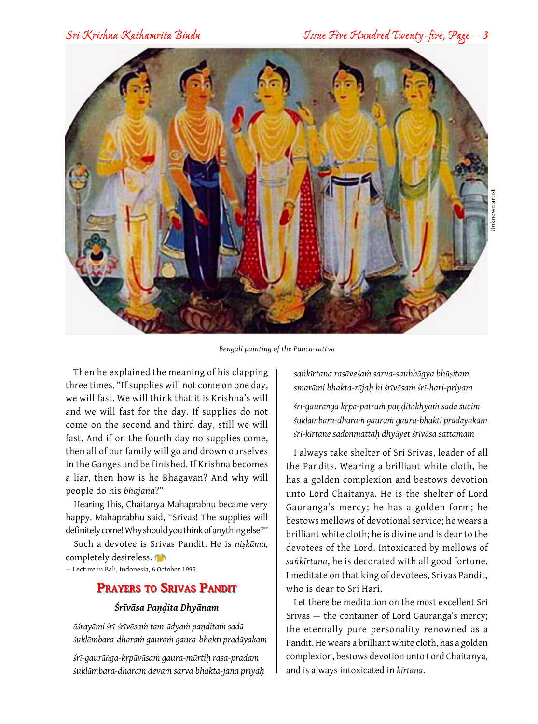

*Bengali painting of the Panca-tattva*

Then he explained the meaning of his clapping three times. "If supplies will not come on one day, we will fast. We will think that it is Krishna's will and we will fast for the day. If supplies do not come on the second and third day, still we will fast. And if on the fourth day no supplies come, then all of our family will go and drown ourselves in the Ganges and be finished. If Krishna becomes a liar, then how is he Bhagavan? And why will people do his *bhajana*?"

Hearing this, Chaitanya Mahaprabhu became very happy. Mahaprabhu said, "Srivas! The supplies will definitely come! Why should you think of anything else?"

Such a devotee is Srivas Pandit. He is *niṣkāma,* completely desireless.

— Lecture in Bali, Indonesia, 6 October 1995.

## **Prayers to Srivas Pandit**

#### <span id="page-2-0"></span>*Śrīvāsa Paṇḍita Dhyānam*

*āśrayāmi śrī-śrīvāsaṁ tam-ādyaṁ paṇḍitaṁ sadā śuklāmbara-dharaṁ gauraṁ gaura-bhakti pradāyakam*

*śrī-gaurāṅga-kṛpāvāsaṁ gaura-mūrtiḥ rasa-pradam śuklāmbara-dharaṁ devaṁ sarva bhakta-jana priyaḥ*

*saṅkīrtana rasāveśaṁ sarva-saubhāgya bhūṣitam smarāmi bhakta-rājaḥ hi śrīvāsaṁ śrī-hari-priyam*

*śrī-gaurāṅga kṛpā-pātraṁ paṇḍitākhyaṁ sadā śucim śuklāmbara-dharaṁ gauraṁ gaura-bhakti pradāyakam śrī-kīrtane sadonmattaḥ dhyāyet śrīvāsa sattamam*

I always take shelter of Sri Srivas, leader of all the Pandits. Wearing a brilliant white cloth, he has a golden complexion and bestows devotion unto Lord Chaitanya. He is the shelter of Lord Gauranga's mercy; he has a golden form; he bestows mellows of devotional service; he wears a brilliant white cloth; he is divine and is dear to the devotees of the Lord. Intoxicated by mellows of *saṅkīrtana*, he is decorated with all good fortune. I meditate on that king of devotees, Srivas Pandit, who is dear to Sri Hari.

Let there be meditation on the most excellent Sri Srivas — the container of Lord Gauranga's mercy; the eternally pure personality renowned as a Pandit. He wears a brilliant white cloth, has a golden complexion, bestows devotion unto Lord Chaitanya, and is always intoxicated in *kīrtana*.